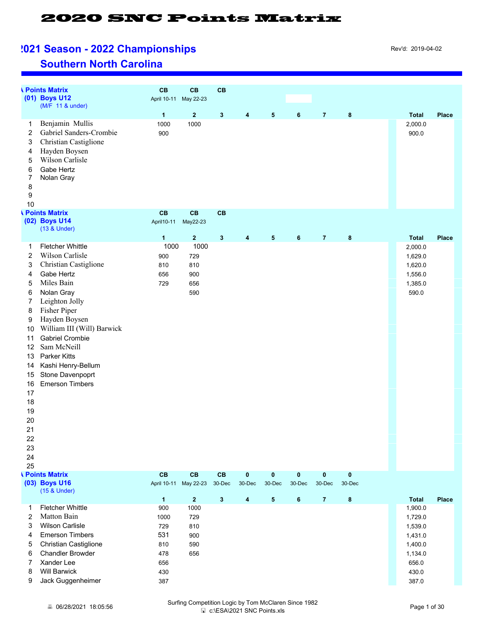# **POINT Season - 2022 Championships Example 1021 Season - 2022 Championships**

#### **Southern North Carolina**

|                | <b>I</b> Points Matrix            | CB           | CB                      | CB           |                  |            |              |                |           |              |              |
|----------------|-----------------------------------|--------------|-------------------------|--------------|------------------|------------|--------------|----------------|-----------|--------------|--------------|
|                | (01) Boys U12<br>(M/F 11 & under) |              | April 10-11 May 22-23   |              |                  |            |              |                |           |              |              |
|                |                                   | $\mathbf{1}$ | $\mathbf{2}$            | $\mathbf 3$  | $\boldsymbol{4}$ | $\sqrt{5}$ | 6            | $\overline{7}$ | 8         | <b>Total</b> | <b>Place</b> |
| 1              | Benjamin Mullis                   | 1000         | 1000                    |              |                  |            |              |                |           | 2,000.0      |              |
| 2              | Gabriel Sanders-Crombie           | 900          |                         |              |                  |            |              |                |           | 900.0        |              |
| 3              | Christian Castiglione             |              |                         |              |                  |            |              |                |           |              |              |
| 4              | Hayden Boysen                     |              |                         |              |                  |            |              |                |           |              |              |
| 5              | Wilson Carlisle                   |              |                         |              |                  |            |              |                |           |              |              |
| 6              | Gabe Hertz                        |              |                         |              |                  |            |              |                |           |              |              |
| 7              | Nolan Gray                        |              |                         |              |                  |            |              |                |           |              |              |
| 8              |                                   |              |                         |              |                  |            |              |                |           |              |              |
| 9              |                                   |              |                         |              |                  |            |              |                |           |              |              |
| 10             |                                   |              |                         |              |                  |            |              |                |           |              |              |
|                | <b>I</b> Points Matrix            | CB           | CB                      | CB           |                  |            |              |                |           |              |              |
|                | (02) Boys U14                     | April 10-11  | May22-23                |              |                  |            |              |                |           |              |              |
|                | (13 & Under)                      |              |                         |              |                  |            |              |                |           |              |              |
|                |                                   | $\mathbf{1}$ | $\overline{\mathbf{2}}$ | $\mathbf 3$  | $\boldsymbol{4}$ | $\sqrt{5}$ | 6            | $\overline{7}$ | $\bf 8$   | <b>Total</b> | <b>Place</b> |
| 1              | <b>Fletcher Whittle</b>           | 1000         | 1000                    |              |                  |            |              |                |           | 2,000.0      |              |
| 2              | Wilson Carlisle                   | 900          | 729                     |              |                  |            |              |                |           | 1,629.0      |              |
| 3              | Christian Castiglione             | 810          | 810                     |              |                  |            |              |                |           | 1,620.0      |              |
| 4              | Gabe Hertz                        | 656          | 900                     |              |                  |            |              |                |           | 1,556.0      |              |
| 5              | Miles Bain                        | 729          | 656                     |              |                  |            |              |                |           | 1,385.0      |              |
| 6              | Nolan Gray                        |              | 590                     |              |                  |            |              |                |           | 590.0        |              |
| $\overline{7}$ | Leighton Jolly                    |              |                         |              |                  |            |              |                |           |              |              |
| 8              | Fisher Piper                      |              |                         |              |                  |            |              |                |           |              |              |
| 9              | Hayden Boysen                     |              |                         |              |                  |            |              |                |           |              |              |
| 10             | William III (Will) Barwick        |              |                         |              |                  |            |              |                |           |              |              |
| 11             | <b>Gabriel Crombie</b>            |              |                         |              |                  |            |              |                |           |              |              |
| 12             | Sam McNeill                       |              |                         |              |                  |            |              |                |           |              |              |
| 13             | Parker Kitts                      |              |                         |              |                  |            |              |                |           |              |              |
| 14             | Kashi Henry-Bellum                |              |                         |              |                  |            |              |                |           |              |              |
| 15             | Stone Davenpoprt                  |              |                         |              |                  |            |              |                |           |              |              |
| 16             | <b>Emerson Timbers</b>            |              |                         |              |                  |            |              |                |           |              |              |
| 17             |                                   |              |                         |              |                  |            |              |                |           |              |              |
| 18             |                                   |              |                         |              |                  |            |              |                |           |              |              |
| 19             |                                   |              |                         |              |                  |            |              |                |           |              |              |
| 20             |                                   |              |                         |              |                  |            |              |                |           |              |              |
| 21             |                                   |              |                         |              |                  |            |              |                |           |              |              |
| 22             |                                   |              |                         |              |                  |            |              |                |           |              |              |
| 23             |                                   |              |                         |              |                  |            |              |                |           |              |              |
| 24             |                                   |              |                         |              |                  |            |              |                |           |              |              |
| 25             |                                   |              |                         |              |                  |            |              |                |           |              |              |
|                | <b>I</b> Points Matrix            | CB           | CB                      | CB           | $\mathbf 0$      | $\bf{0}$   | $\mathbf{0}$ | $\mathbf{0}$   | $\pmb{0}$ |              |              |
|                | (03) Boys U16<br>(15 & Under)     |              | April 10-11 May 22-23   | 30-Dec       | $30 - Dec$       | 30-Dec     | 30-Dec       | 30-Dec         | 30-Dec    |              |              |
|                |                                   | $\mathbf{1}$ | 2 <sup>1</sup>          | $\mathbf{3}$ | $\boldsymbol{4}$ | $\sqrt{5}$ | $\bf 6$      | $\overline{7}$ | 8         | <b>Total</b> | <b>Place</b> |
| 1              | <b>Fletcher Whittle</b>           | 900          | 1000                    |              |                  |            |              |                |           | 1,900.0      |              |
| 2              | Matton Bain                       | 1000         | 729                     |              |                  |            |              |                |           | 1,729.0      |              |
| 3              | <b>Wilson Carlisle</b>            | 729          | 810                     |              |                  |            |              |                |           | 1,539.0      |              |
| 4              | <b>Emerson Timbers</b>            | 531          | 900                     |              |                  |            |              |                |           | 1,431.0      |              |
| 5              | Christian Castiglione             | 810          | 590                     |              |                  |            |              |                |           | 1,400.0      |              |
| 6              | <b>Chandler Browder</b>           | 478          | 656                     |              |                  |            |              |                |           | 1,134.0      |              |
| 7              | Xander Lee                        | 656          |                         |              |                  |            |              |                |           | 656.0        |              |
|                | <b>Will Barwick</b>               | 430          |                         |              |                  |            |              |                |           | 430.0        |              |
|                |                                   |              |                         |              |                  |            |              |                |           |              |              |
| 8<br>9         | Jack Guggenheimer                 | 387          |                         |              |                  |            |              |                |           | 387.0        |              |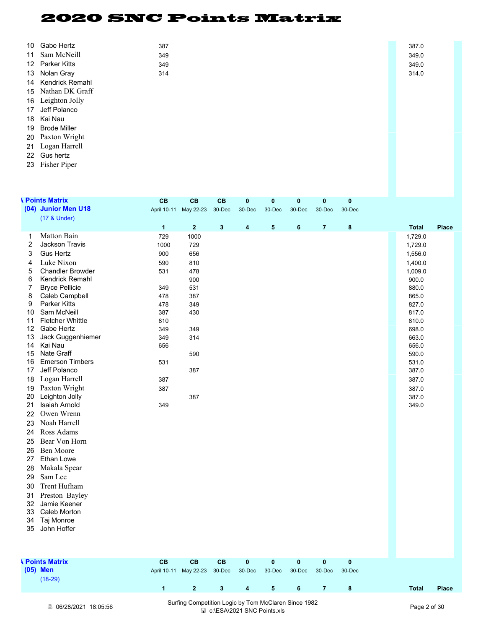| 10 Gabe Hertz      | 387 |  | 387.0 |
|--------------------|-----|--|-------|
| 11 Sam McNeill     | 349 |  | 349.0 |
| 12 Parker Kitts    | 349 |  | 349.0 |
| 13 Nolan Gray      | 314 |  | 314.0 |
| 14 Kendrick Remahl |     |  |       |
| 15 Nathan DK Graff |     |  |       |
| 16 Leighton Jolly  |     |  |       |
| 17 Jeff Polanco    |     |  |       |
| 18 Kai Nau         |     |  |       |
| 19 Brode Miller    |     |  |       |
| 20 Paxton Wright   |     |  |       |
| 21 Logan Harrell   |     |  |       |
| 22 Gus hertz       |     |  |       |

Fisher Piper

|                | <b>N</b> Points Matrix             | <b>CB</b>               | <b>CB</b>               | CB           | $\mathbf{0}$            | $\mathbf{0}$ | $\mathbf{0}$ | $\mathbf{0}$            | $\bf{0}$ |                |              |
|----------------|------------------------------------|-------------------------|-------------------------|--------------|-------------------------|--------------|--------------|-------------------------|----------|----------------|--------------|
|                | (04) Junior Men U18                |                         | April 10-11 May 22-23   | 30-Dec       | 30-Dec                  | 30-Dec       | 30-Dec       | 30-Dec                  | 30-Dec   |                |              |
|                | (17 & Under)                       | $\overline{\mathbf{1}}$ | $\overline{\mathbf{2}}$ | $\mathbf{3}$ | 4                       | ${\bf 5}$    | 6            | $\overline{\mathbf{7}}$ | 8        | <b>Total</b>   | <b>Place</b> |
| 1              | Matton Bain                        | 729                     | 1000                    |              |                         |              |              |                         |          | 1,729.0        |              |
| $\overline{c}$ | <b>Jackson Travis</b>              | 1000                    | 729                     |              |                         |              |              |                         |          | 1,729.0        |              |
| 3              | <b>Gus Hertz</b>                   | 900                     | 656                     |              |                         |              |              |                         |          | 1,556.0        |              |
| 4              | Luke Nixon                         | 590                     | 810                     |              |                         |              |              |                         |          | 1,400.0        |              |
| 5              | <b>Chandler Browder</b>            | 531                     | 478                     |              |                         |              |              |                         |          | 1,009.0        |              |
| 6              | <b>Kendrick Remahl</b>             |                         | 900                     |              |                         |              |              |                         |          | 900.0          |              |
| 7              | <b>Bryce Pellicie</b>              | 349                     | 531                     |              |                         |              |              |                         |          | 880.0          |              |
| 8              | Caleb Campbell                     | 478                     | 387                     |              |                         |              |              |                         |          | 865.0          |              |
| 9              | <b>Parker Kitts</b>                | 478                     | 349                     |              |                         |              |              |                         |          | 827.0          |              |
| 10             | Sam McNeill                        | 387                     | 430                     |              |                         |              |              |                         |          | 817.0          |              |
| 11             | <b>Fletcher Whittle</b>            | 810                     |                         |              |                         |              |              |                         |          | 810.0          |              |
| 12             | Gabe Hertz<br>Jack Guggenhiemer    | 349                     | 349                     |              |                         |              |              |                         |          | 698.0          |              |
| 13<br>14       | Kai Nau                            | 349<br>656              | 314                     |              |                         |              |              |                         |          | 663.0<br>656.0 |              |
| 15             | Nate Graff                         |                         | 590                     |              |                         |              |              |                         |          | 590.0          |              |
| 16             | <b>Emerson Timbers</b>             | 531                     |                         |              |                         |              |              |                         |          | 531.0          |              |
| 17             | Jeff Polanco                       |                         | 387                     |              |                         |              |              |                         |          | 387.0          |              |
| 18             | Logan Harrell                      | 387                     |                         |              |                         |              |              |                         |          | 387.0          |              |
| 19             | Paxton Wright                      | 387                     |                         |              |                         |              |              |                         |          | 387.0          |              |
| 20             | Leighton Jolly                     |                         | 387                     |              |                         |              |              |                         |          | 387.0          |              |
| 21             | <b>Isaiah Arnold</b>               | 349                     |                         |              |                         |              |              |                         |          | 349.0          |              |
| 22             | Owen Wrenn                         |                         |                         |              |                         |              |              |                         |          |                |              |
| 23             | Noah Harrell                       |                         |                         |              |                         |              |              |                         |          |                |              |
| 24             | Ross Adams                         |                         |                         |              |                         |              |              |                         |          |                |              |
| 25             | Bear Von Horn                      |                         |                         |              |                         |              |              |                         |          |                |              |
| 26             | Ben Moore                          |                         |                         |              |                         |              |              |                         |          |                |              |
| 27             | Ethan Lowe                         |                         |                         |              |                         |              |              |                         |          |                |              |
| 28             | Makala Spear                       |                         |                         |              |                         |              |              |                         |          |                |              |
| 29             | Sam Lee                            |                         |                         |              |                         |              |              |                         |          |                |              |
| 30             | Trent Hufham                       |                         |                         |              |                         |              |              |                         |          |                |              |
| 31             | Preston Bayley                     |                         |                         |              |                         |              |              |                         |          |                |              |
| 32             | Jamie Keener                       |                         |                         |              |                         |              |              |                         |          |                |              |
| 33             | Caleb Morton                       |                         |                         |              |                         |              |              |                         |          |                |              |
| 34             | Taj Monroe                         |                         |                         |              |                         |              |              |                         |          |                |              |
| 35             | John Hoffer                        |                         |                         |              |                         |              |              |                         |          |                |              |
|                |                                    |                         |                         |              |                         |              |              |                         |          |                |              |
|                | <b><i><u>Neints</u></i></b> Matrix | <b>CB</b>               | <b>CB</b>               | CB           | 0                       | $\pmb{0}$    | $\pmb{0}$    | $\pmb{0}$               | $\bf{0}$ |                |              |
|                | (05) Men                           |                         | April 10-11 May 22-23   | 30-Dec       | 30-Dec                  | 30-Dec       | 30-Dec       | 30-Dec                  | 30-Dec   |                |              |
|                | $(18-29)$                          |                         |                         |              |                         |              |              |                         |          |                |              |
|                |                                    | $\overline{\mathbf{1}}$ | $\overline{2}$          | $\mathbf{3}$ | $\overline{\mathbf{4}}$ | 5            | 6            | $\overline{7}$          | 8        | <b>Total</b>   | <b>Place</b> |
|                |                                    |                         |                         |              |                         |              |              |                         |          |                |              |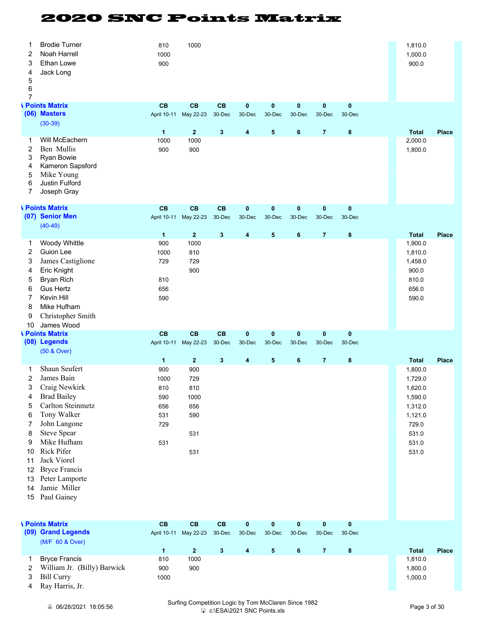| 1<br>2<br>3<br>4<br>5<br>6<br>$\overline{7}$                                               | <b>Brodie Turner</b><br>Noah Harrell<br>Ethan Lowe<br>Jack Long                                                                                                                                                                                                                  | 810<br>1000<br>900                                                               | 1000                                                                    |                  |                         |                     |                       |                     |                    | 1,810.0<br>1,000.0<br>900.0                                                                                        |              |
|--------------------------------------------------------------------------------------------|----------------------------------------------------------------------------------------------------------------------------------------------------------------------------------------------------------------------------------------------------------------------------------|----------------------------------------------------------------------------------|-------------------------------------------------------------------------|------------------|-------------------------|---------------------|-----------------------|---------------------|--------------------|--------------------------------------------------------------------------------------------------------------------|--------------|
|                                                                                            | <b><i><u>Neints</u></i></b> Matrix<br>(06) Masters<br>$(30-39)$                                                                                                                                                                                                                  | CB                                                                               | CB<br>April 10-11 May 22-23                                             | CB<br>30-Dec     | 0<br>30-Dec             | $\pmb{0}$<br>30-Dec | 0<br>30-Dec           | 0<br>30-Dec         | 0<br>30-Dec        |                                                                                                                    |              |
| 1<br>2<br>3<br>4<br>5<br>6<br>7                                                            | Will McEachern<br>Ben Mullis<br>Ryan Bowie<br>Kameron Sapsford<br>Mike Young<br>Justin Fulford<br>Joseph Gray                                                                                                                                                                    | $\mathbf{1}$<br>1000<br>900                                                      | $\overline{2}$<br>1000<br>900                                           | $\mathbf{3}$     | 4                       | 5                   | $6\phantom{1}6$       | $\overline{7}$      | 8                  | <b>Total</b><br>2,000.0<br>1,800.0                                                                                 | <b>Place</b> |
|                                                                                            | <b><i><u>Neints Matrix</u></i></b><br>(07) Senior Men<br>$(40-49)$                                                                                                                                                                                                               | CB                                                                               | CB<br>April 10-11 May 22-23                                             | CB<br>$30 - Dec$ | $\pmb{0}$<br>30-Dec     | $\pmb{0}$<br>30-Dec | $\pmb{0}$<br>30-Dec   | $\pmb{0}$<br>30-Dec | $\bf{0}$<br>30-Dec |                                                                                                                    |              |
| 1<br>2<br>3<br>4<br>5<br>6<br>$\overline{7}$<br>8<br>9<br>10                               | Woody Whittle<br><b>Guion Lee</b><br>James Castiglione<br>Eric Knight<br><b>Bryan Rich</b><br><b>Gus Hertz</b><br>Kevin Hill<br>Mike Hufham<br>Christopher Smith<br>James Wood                                                                                                   | $\blacktriangleleft$<br>900<br>1000<br>729<br>810<br>656<br>590                  | $\mathbf{2}$<br>1000<br>810<br>729<br>900                               | $\mathbf{3}$     | $\overline{\mathbf{4}}$ | 5                   | 6                     | $\overline{7}$      | 8                  | <b>Total</b><br>1,900.0<br>1,810.0<br>1,458.0<br>900.0<br>810.0<br>656.0<br>590.0                                  | <b>Place</b> |
|                                                                                            | <b>A</b> Points Matrix<br>(08) Legends                                                                                                                                                                                                                                           | CB                                                                               | CB<br>April 10-11 May 22-23                                             | CB<br>$30 - Dec$ | $\bf{0}$<br>30-Dec      | $\pmb{0}$<br>30-Dec | $\bf{0}$<br>30-Dec    | $\pmb{0}$<br>30-Dec | $\bf{0}$<br>30-Dec |                                                                                                                    |              |
| 1<br>2<br>3<br>4<br>5<br>6<br>$\overline{7}$<br>8<br>9<br>10<br>11<br>12<br>13<br>14<br>15 | (50 & Over)<br>Shaun Seufert<br>James Bain<br>Craig Newkirk<br><b>Brad Bailey</b><br>Carlton Steinmetz<br>Tony Walker<br>John Langone<br><b>Steve Spear</b><br>Mike Hufham<br>Rick Pifer<br>Jack Viorel<br><b>Bryce Francis</b><br>Peter Lamporte<br>Jamie Miller<br>Paul Gainey | $\overline{\mathbf{1}}$<br>900<br>1000<br>810<br>590<br>656<br>531<br>729<br>531 | $\overline{2}$<br>900<br>729<br>810<br>1000<br>656<br>590<br>531<br>531 | $\mathbf{3}$     | 4                       | 5                   | $6\phantom{1}6$       | $\overline{7}$      | 8                  | <b>Total</b><br>1,800.0<br>1,729.0<br>1,620.0<br>1,590.0<br>1,312.0<br>1,121.0<br>729.0<br>531.0<br>531.0<br>531.0 | <b>Place</b> |
|                                                                                            | <b>A Points Matrix</b><br>(09) Grand Legends<br>(M/F 60 & Over)                                                                                                                                                                                                                  | CB                                                                               | CB<br>April 10-11 May 22-23                                             | CB<br>$30 - Dec$ | 0<br>30-Dec             | $\pmb{0}$<br>30-Dec | $\bf{0}$<br>$30$ -Dec | 0<br>30-Dec         | 0<br>30-Dec        |                                                                                                                    |              |
| 1<br>2<br>3<br>4                                                                           | <b>Bryce Francis</b><br>William Jr. (Billy) Barwick<br><b>Bill Curry</b><br>Ray Harris, Jr.                                                                                                                                                                                      | $\mathbf{1}$<br>810<br>900<br>1000                                               | $\mathbf 2$<br>1000<br>900                                              | $3\phantom{a}$   | 4                       | $\sqrt{5}$          | $\bf 6$               | $\overline{7}$      | $\bf8$             | <b>Total</b><br>1,810.0<br>1,800.0<br>1,000.0                                                                      | Place        |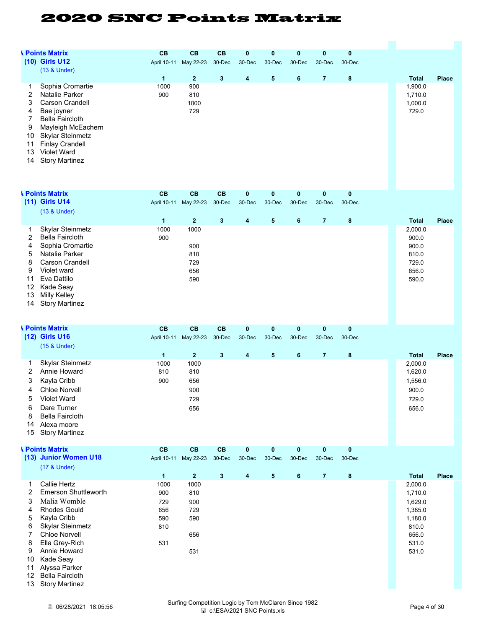|                                         | <b><i><u>Neints</u></i></b> Matrix                                                                                  | CB                          | CB                        | CB           | 0        | $\pmb{0}$ | $\bf{0}$ | 0              | $\bf{0}$ |                                        |              |
|-----------------------------------------|---------------------------------------------------------------------------------------------------------------------|-----------------------------|---------------------------|--------------|----------|-----------|----------|----------------|----------|----------------------------------------|--------------|
|                                         | (10) Girls U12<br>(13 & Under)                                                                                      |                             | April 10-11 May 22-23     | $30 - Dec$   | 30-Dec   | 30-Dec    | 30-Dec   | 30-Dec         | 30-Dec   |                                        |              |
|                                         |                                                                                                                     | $\mathbf{1}$                | $\overline{2}$            | $\mathbf{3}$ | 4        | 5         | 6        | $\overline{7}$ | 8        | <b>Total</b>                           | <b>Place</b> |
| 1<br>2<br>3<br>4<br>$\overline{7}$<br>9 | Sophia Cromartie<br>Natalie Parker<br>Carson Crandell<br>Bae joyner<br><b>Bella Faircloth</b><br>Mayleigh McEachern | 1000<br>900                 | 900<br>810<br>1000<br>729 |              |          |           |          |                |          | 1,900.0<br>1,710.0<br>1,000.0<br>729.0 |              |
| 10<br>11<br>13<br>14                    | Skylar Steinmetz<br><b>Finlay Crandell</b><br>Violet Ward<br><b>Story Martinez</b>                                  |                             |                           |              |          |           |          |                |          |                                        |              |
|                                         | <b>A Points Matrix</b>                                                                                              | CB                          | CB                        | CB           | 0        | 0         | 0        | 0              | 0        |                                        |              |
|                                         | (11) Girls U14                                                                                                      |                             | April 10-11 May 22-23     | $30 - Dec$   | 30-Dec   | 30-Dec    | 30-Dec   | 30-Dec         | 30-Dec   |                                        |              |
|                                         | (13 & Under)                                                                                                        |                             |                           |              |          |           |          |                |          |                                        |              |
| 1<br>2                                  | Skylar Steinmetz<br><b>Bella Faircloth</b>                                                                          | $\mathbf{1}$<br>1000<br>900 | $\mathbf{2}$<br>1000      | $\mathbf{3}$ | 4        | 5         | 6        | $\overline{7}$ | 8        | <b>Total</b><br>2,000.0<br>900.0       | <b>Place</b> |
| 4                                       | Sophia Cromartie                                                                                                    |                             | 900                       |              |          |           |          |                |          | 900.0                                  |              |
| 5<br>8                                  | Natalie Parker<br>Carson Crandell                                                                                   |                             | 810<br>729                |              |          |           |          |                |          | 810.0                                  |              |
| 9                                       | Violet ward                                                                                                         |                             | 656                       |              |          |           |          |                |          | 729.0<br>656.0                         |              |
| 11                                      | Eva Dattilo                                                                                                         |                             | 590                       |              |          |           |          |                |          | 590.0                                  |              |
| 12                                      | Kade Seay                                                                                                           |                             |                           |              |          |           |          |                |          |                                        |              |
| 13<br>14                                | Milly Kelley<br><b>Story Martinez</b>                                                                               |                             |                           |              |          |           |          |                |          |                                        |              |
|                                         |                                                                                                                     |                             |                           |              |          |           |          |                |          |                                        |              |
|                                         | <b>A Points Matrix</b>                                                                                              | <b>CB</b>                   | CB                        | CB           | $\bf{0}$ | $\bf{0}$  | $\bf{0}$ | 0              | 0        |                                        |              |
|                                         | (12) Girls U16<br>(15 & Under)                                                                                      |                             | April 10-11 May 22-23     | $30 - Dec$   | 30-Dec   | 30-Dec    | 30-Dec   | 30-Dec         | 30-Dec   |                                        |              |
|                                         |                                                                                                                     | $\mathbf{1}$                | $\mathbf 2$               | $\mathbf{3}$ | 4        | 5         | 6        | $\overline{7}$ | 8        | <b>Total</b>                           | <b>Place</b> |
| 1                                       | Skylar Steinmetz                                                                                                    | 1000                        | 1000                      |              |          |           |          |                |          | 2,000.0                                |              |
| 2                                       | Annie Howard                                                                                                        | 810                         | 810                       |              |          |           |          |                |          | 1,620.0                                |              |
| 3<br>4                                  | Kayla Cribb<br>Chloe Norvell                                                                                        | 900                         | 656<br>900                |              |          |           |          |                |          | 1,556.0<br>900.0                       |              |
| 5                                       | Violet Ward                                                                                                         |                             | 729                       |              |          |           |          |                |          | 729.0                                  |              |
| 6                                       | Dare Turner                                                                                                         |                             | 656                       |              |          |           |          |                |          | 656.0                                  |              |
| 8                                       | <b>Bella Faircloth</b>                                                                                              |                             |                           |              |          |           |          |                |          |                                        |              |
| 14<br>15                                | Alexa moore<br><b>Story Martinez</b>                                                                                |                             |                           |              |          |           |          |                |          |                                        |              |
|                                         | <b>A Points Matrix</b>                                                                                              | CB                          | CB                        | CB           | 0        | $\pmb{0}$ | $\bf{0}$ | 0              | 0        |                                        |              |
|                                         | (13) Junior Women U18<br>(17 & Under)                                                                               |                             | April 10-11 May 22-23     | $30 - Dec$   | 30-Dec   | 30-Dec    | 30-Dec   | 30-Dec         | 30-Dec   |                                        |              |
|                                         |                                                                                                                     | $\mathbf{1}$                | $\mathbf{2}$              | $\mathbf{3}$ | 4        | 5         | 6        | $\overline{7}$ | 8        | <b>Total</b>                           | <b>Place</b> |
| 1<br>2                                  | Callie Hertz<br><b>Emerson Shuttleworth</b>                                                                         | 1000<br>900                 | 1000<br>810               |              |          |           |          |                |          | 2,000.0<br>1,710.0                     |              |
| 3                                       | Malia Womble                                                                                                        | 729                         | 900                       |              |          |           |          |                |          | 1,629.0                                |              |
| 4                                       | <b>Rhodes Gould</b>                                                                                                 | 656                         | 729                       |              |          |           |          |                |          | 1,385.0                                |              |
| 5                                       | Kayla Cribb                                                                                                         | 590                         | 590                       |              |          |           |          |                |          | 1,180.0                                |              |
| 6<br>7                                  | Skylar Steinmetz<br><b>Chloe Norvell</b>                                                                            | 810                         | 656                       |              |          |           |          |                |          | 810.0<br>656.0                         |              |
| 8                                       | Ella Grey-Rich                                                                                                      | 531                         |                           |              |          |           |          |                |          | 531.0                                  |              |
| 9                                       | Annie Howard                                                                                                        |                             | 531                       |              |          |           |          |                |          | 531.0                                  |              |
| 10<br>11                                | Kade Seay<br>Alyssa Parker                                                                                          |                             |                           |              |          |           |          |                |          |                                        |              |
| 12                                      | <b>Bella Faircloth</b>                                                                                              |                             |                           |              |          |           |          |                |          |                                        |              |
| 13                                      | <b>Story Martinez</b>                                                                                               |                             |                           |              |          |           |          |                |          |                                        |              |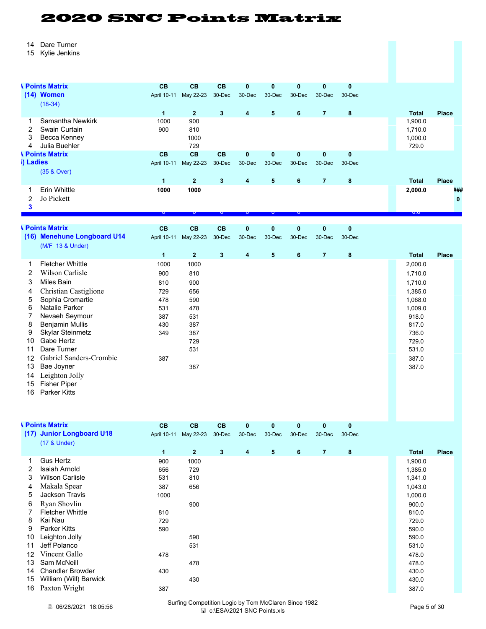- Dare Turner
- Kylie Jenkins

|                | <b>A Points Matrix</b>      | <b>CB</b>    | <b>CB</b>      | <b>CB</b>    | $\bf{0}$    | $\pmb{0}$               | $\mathbf{0}$   | $\mathbf{0}$   | $\mathbf 0$  |              |       |
|----------------|-----------------------------|--------------|----------------|--------------|-------------|-------------------------|----------------|----------------|--------------|--------------|-------|
|                | (14) Women                  | April 10-11  | May 22-23      | 30-Dec       | 30-Dec      | 30-Dec                  | 30-Dec         | 30-Dec         | 30-Dec       |              |       |
|                | $(18-34)$                   |              |                |              |             |                         |                |                |              |              |       |
|                |                             | $\mathbf{1}$ | $\mathbf{2}$   | $\mathbf{3}$ | 4           | $\overline{\mathbf{5}}$ | 6              | $\overline{7}$ | 8            | <b>Total</b> | Place |
| 1              | Samantha Newkirk            | 1000         | 900            |              |             |                         |                |                |              | 1,900.0      |       |
| $\overline{2}$ | Swain Curtain               | 900          | 810            |              |             |                         |                |                |              | 1,710.0      |       |
| 3              | Becca Kenney                |              | 1000           |              |             |                         |                |                |              | 1,000.0      |       |
| 4              | Julia Buehler               |              | 729            |              |             |                         |                |                |              | 729.0        |       |
|                | <b>A Points Matrix</b>      | <b>CB</b>    | <b>CB</b>      | CB           | $\bf{0}$    | $\pmb{0}$               | $\mathbf{0}$   | $\mathbf{0}$   | $\mathbf{0}$ |              |       |
| i) Ladies      |                             | April 10-11  | May 22-23      | 30-Dec       | 30-Dec      | 30-Dec                  | 30-Dec         | 30-Dec         | 30-Dec       |              |       |
|                | (35 & Over)                 |              |                |              |             |                         |                |                |              |              |       |
|                |                             | $\mathbf{1}$ | $\overline{2}$ | $\mathbf{3}$ | $\pmb{4}$   | $\overline{5}$          | $6\phantom{1}$ | $\overline{7}$ | $\bf{8}$     | <b>Total</b> | Place |
| 1              | Erin Whittle                | 1000         | 1000           |              |             |                         |                |                |              | 2,000.0      | ###   |
| $\overline{2}$ | Jo Pickett                  |              |                |              |             |                         |                |                |              |              |       |
| 3              |                             |              |                |              |             |                         |                |                |              |              |       |
|                |                             | $\mathbf{v}$ | U              | Þ            | v           | v                       | Þ              |                |              | 0.0          |       |
|                | <b>A Points Matrix</b>      | <b>CB</b>    | <b>CB</b>      | CB           | $\mathbf 0$ | $\mathbf{0}$            | $\mathbf{0}$   | $\mathbf{0}$   | $\mathbf 0$  |              |       |
|                | (16) Menehune Longboard U14 | April 10-11  | May 22-23      | 30-Dec       | 30-Dec      | 30-Dec                  | 30-Dec         | 30-Dec         | 30-Dec       |              |       |
|                | (M/F 13 & Under)            |              |                |              |             |                         |                |                |              |              |       |
|                |                             | $\mathbf{1}$ | $\overline{2}$ | $\mathbf{3}$ | 4           | $\overline{\mathbf{5}}$ | 6              | $\overline{7}$ | 8            | <b>Total</b> | Place |
| 1              | <b>Fletcher Whittle</b>     | 1000         | 1000           |              |             |                         |                |                |              | 2,000.0      |       |
| 2              | Wilson Carlisle             | 900          | 810            |              |             |                         |                |                |              | 1,710.0      |       |
| 3              | <b>Miles Bain</b>           | 810          | 900            |              |             |                         |                |                |              | 1,710.0      |       |
| 4              | Christian Castiglione       | 729          | 656            |              |             |                         |                |                |              | 1,385.0      |       |
| 5              | Sophia Cromartie            | 478          | 590            |              |             |                         |                |                |              | 1,068.0      |       |
| 6              | Natalie Parker              | 531          | 478            |              |             |                         |                |                |              | 1,009.0      |       |
| 7              | Nevaeh Seymour              | 387          | 531            |              |             |                         |                |                |              | 918.0        |       |
| 8              | <b>Benjamin Mullis</b>      | 430          | 387            |              |             |                         |                |                |              | 817.0        |       |
| 9              | Skylar Steinmetz            | 349          | 387            |              |             |                         |                |                |              | 736.0        |       |
| 10             | Gabe Hertz                  |              | 729            |              |             |                         |                |                |              | 729.0        |       |
| 11             | Dare Turner                 |              | 531            |              |             |                         |                |                |              | 531.0        |       |
| 12             | Gabriel Sanders-Crombie     | 387          |                |              |             |                         |                |                |              | 387.0        |       |
| 13             | Bae Joyner                  |              | 387            |              |             |                         |                |                |              | 387.0        |       |
| 14             | Leighton Jolly              |              |                |              |             |                         |                |                |              |              |       |
| 15             | <b>Fisher Piper</b>         |              |                |              |             |                         |                |                |              |              |       |
|                |                             |              |                |              |             |                         |                |                |              |              |       |

Parker Kitts

|    | <b>Points Matrix</b>      | CB                   | CB           | CB           | $\mathbf{0}$ | $\mathbf{0}$ | $\mathbf 0$ | $\mathbf{0}$   | $\bf{0}$ |         |              |
|----|---------------------------|----------------------|--------------|--------------|--------------|--------------|-------------|----------------|----------|---------|--------------|
|    | (17) Junior Longboard U18 | April 10-11          | May 22-23    | 30-Dec       | 30-Dec       | 30-Dec       | 30-Dec      | 30-Dec         | 30-Dec   |         |              |
|    | (17 & Under)              |                      |              |              |              |              |             |                |          |         |              |
|    |                           | $\blacktriangleleft$ | $\mathbf{2}$ | $\mathbf{3}$ | 4            | 5            | 6           | $\overline{7}$ | 8        | Total   | <b>Place</b> |
|    | <b>Gus Hertz</b>          | 900                  | 1000         |              |              |              |             |                |          | 1,900.0 |              |
| 2  | <b>Isaiah Arnold</b>      | 656                  | 729          |              |              |              |             |                |          | 1,385.0 |              |
| 3  | <b>Wilson Carlisle</b>    | 531                  | 810          |              |              |              |             |                |          | 1,341.0 |              |
| 4  | Makala Spear              | 387                  | 656          |              |              |              |             |                |          | 1,043.0 |              |
| 5  | Jackson Travis            | 1000                 |              |              |              |              |             |                |          | 1,000.0 |              |
| 6  | Ryan Shovlin              |                      | 900          |              |              |              |             |                |          | 900.0   |              |
|    | <b>Fletcher Whittle</b>   | 810                  |              |              |              |              |             |                |          | 810.0   |              |
| 8  | Kai Nau                   | 729                  |              |              |              |              |             |                |          | 729.0   |              |
| 9  | <b>Parker Kitts</b>       | 590                  |              |              |              |              |             |                |          | 590.0   |              |
| 10 | Leighton Jolly            |                      | 590          |              |              |              |             |                |          | 590.0   |              |
| 11 | Jeff Polanco              |                      | 531          |              |              |              |             |                |          | 531.0   |              |
| 12 | Vincent Gallo             | 478                  |              |              |              |              |             |                |          | 478.0   |              |
| 13 | Sam McNeill               |                      | 478          |              |              |              |             |                |          | 478.0   |              |
| 14 | <b>Chandler Browder</b>   | 430                  |              |              |              |              |             |                |          | 430.0   |              |
| 15 | William (Will) Barwick    |                      | 430          |              |              |              |             |                |          | 430.0   |              |
| 16 | Paxton Wright             | 387                  |              |              |              |              |             |                |          | 387.0   |              |

**6 06/28/2021 18:05:56** Surfing Competition Logic by Tom McClaren Since 1982 mpetition Logic by Tom McClaren Since 1982<br>  $\Box$  c:\ESA\2021 SNC Points.xls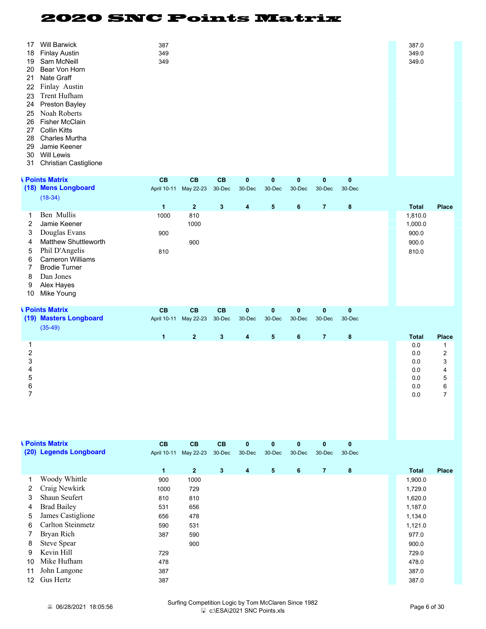| 387<br>349<br>349                       |                           |                                                                                                                                                                                                                         |                    |                                 |                        |                               |                    | 387.0<br>349.0<br>349.0                                      |                                                                      |
|-----------------------------------------|---------------------------|-------------------------------------------------------------------------------------------------------------------------------------------------------------------------------------------------------------------------|--------------------|---------------------------------|------------------------|-------------------------------|--------------------|--------------------------------------------------------------|----------------------------------------------------------------------|
| <b>CB</b>                               | <b>CB</b><br>$30 - Dec$   | $\bf{0}$<br>30-Dec                                                                                                                                                                                                      | $\bf{0}$<br>30-Dec | 0<br>30-Dec                     | $\pmb{0}$<br>30-Dec    | 0<br>30-Dec                   |                    |                                                              |                                                                      |
| $\mathbf{1}$                            | $\overline{\mathbf{3}}$   | 4                                                                                                                                                                                                                       | $5\phantom{.0}$    | 6                               | $\overline{7}$         | $\bf{8}$                      |                    | <b>Total</b>                                                 | <b>Place</b>                                                         |
| 1000<br>900<br>810                      |                           |                                                                                                                                                                                                                         |                    |                                 |                        |                               |                    | 1,810.0<br>1,000.0<br>900.0<br>900.0<br>810.0                |                                                                      |
| CB                                      | CB<br>$30 - Dec$          | $\bf{0}$<br>30-Dec                                                                                                                                                                                                      | $\bf{0}$<br>30-Dec | $\bf{0}$<br>30-Dec              | $\mathbf 0$<br>30-Dec  | $\bf{0}$<br>30-Dec            |                    |                                                              |                                                                      |
|                                         |                           |                                                                                                                                                                                                                         |                    |                                 |                        |                               |                    |                                                              | <b>Place</b>                                                         |
|                                         |                           |                                                                                                                                                                                                                         |                    |                                 |                        |                               |                    | 0.0<br>0.0<br>0.0<br>$0.0\,$<br>0.0<br>0.0<br>$0.0\,$        | $\mathbf{1}$<br>$\overline{2}$<br>3<br>4<br>5<br>6<br>$\overline{7}$ |
|                                         | 30-Dec                    | 30-Dec                                                                                                                                                                                                                  | 30-Dec             | 30-Dec                          | 30-Dec                 | 30-Dec                        |                    |                                                              |                                                                      |
| $\mathbf{1}$                            | $3\phantom{a}$            | 4                                                                                                                                                                                                                       | $5\phantom{.0}$    | $\bf 6$                         | $\overline{7}$         | $\bf{8}$                      |                    | <b>Total</b>                                                 | <b>Place</b>                                                         |
| 1000<br>810<br>531<br>656<br>590<br>387 | 590                       |                                                                                                                                                                                                                         |                    |                                 |                        |                               |                    | 1,729.0<br>1,620.0<br>1,187.0<br>1,134.0<br>1,121.0<br>977.0 |                                                                      |
|                                         | $\mathbf{1}$<br>CB<br>900 | CB<br>April 10-11 May 22-23<br>$\mathbf{2}$<br>810<br>1000<br>900<br>CB<br>April 10-11 May 22-23<br>$\overline{2}$<br>3<br>CB<br>CB<br>April 10-11 May 22-23<br>$\mathbf{2}$<br>1000<br>729<br>810<br>656<br>478<br>531 | 4<br>0             | $5\phantom{.0}$<br>$\mathbf{0}$ | $\bf 6$<br>$\mathbf 0$ | $\overline{7}$<br>$\mathbf 0$ | $\bf8$<br>$\bf{0}$ |                                                              | <b>Total</b><br>1,900.0                                              |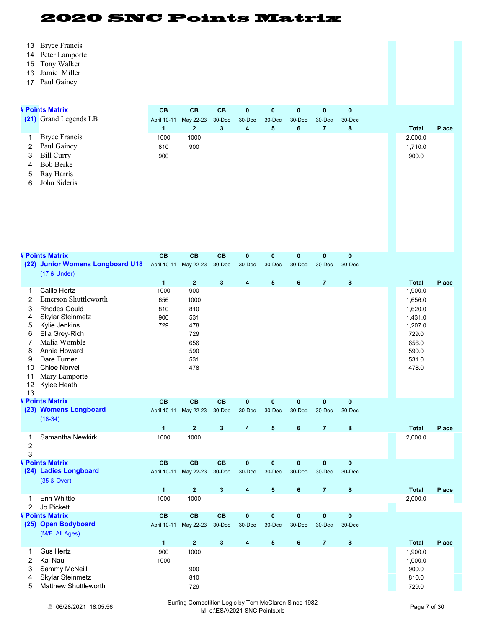- Bryce Francis
- Peter Lamporte
- Tony Walker
- Jamie Miller
- Paul Gainey

|                                                                                | <b>I</b> Points Matrix                                                                                                                                                                                                                  | <b>CB</b>                          | CB                                                                  | <b>CB</b>           | $\mathbf{0}$           | $\bf{0}$               | 0           | $\mathbf 0$              | 0           |                                                                                                  |              |
|--------------------------------------------------------------------------------|-----------------------------------------------------------------------------------------------------------------------------------------------------------------------------------------------------------------------------------------|------------------------------------|---------------------------------------------------------------------|---------------------|------------------------|------------------------|-------------|--------------------------|-------------|--------------------------------------------------------------------------------------------------|--------------|
|                                                                                | (21) Grand Legends LB                                                                                                                                                                                                                   |                                    | April 10-11 May 22-23                                               | 30-Dec              | 30-Dec                 | 30-Dec                 | 30-Dec      | 30-Dec<br>$\overline{7}$ | 30-Dec      |                                                                                                  |              |
| 1<br>2<br>3<br>4<br>5<br>6                                                     | <b>Bryce Francis</b><br>Paul Gainey<br><b>Bill Curry</b><br><b>Bob Berke</b><br>Ray Harris<br>John Sideris                                                                                                                              | $\mathbf{1}$<br>1000<br>810<br>900 | $\mathbf{2}$<br>1000<br>900                                         | 3                   | $\overline{4}$         | 5                      | 6           |                          | 8           | <b>Total</b><br>2,000.0<br>1,710.0<br>900.0                                                      | <b>Place</b> |
|                                                                                | <b><i><u>Neints Matrix</u></i></b>                                                                                                                                                                                                      | CB                                 | CB                                                                  | <b>CB</b>           | $\bf{0}$               | $\bf{0}$               | $\mathbf 0$ | $\mathbf 0$              | $\bf{0}$    |                                                                                                  |              |
|                                                                                | (22) Junior Womens Longboard U18<br>(17 & Under)                                                                                                                                                                                        |                                    | April 10-11 May 22-23                                               | 30-Dec              | 30-Dec                 | 30-Dec                 | 30-Dec      | 30-Dec                   | 30-Dec      |                                                                                                  |              |
|                                                                                |                                                                                                                                                                                                                                         | $\mathbf{1}$                       | $\mathbf{2}$                                                        | $\mathbf{3}$        | 4                      | 5                      | 6           | $\overline{7}$           | 8           | <b>Total</b>                                                                                     | <b>Place</b> |
| 1<br>2<br>3<br>4<br>5<br>6<br>$\overline{7}$<br>8<br>9<br>10<br>11<br>12<br>13 | <b>Callie Hertz</b><br>Emerson Shuttleworth<br><b>Rhodes Gould</b><br><b>Skylar Steinmetz</b><br>Kylie Jenkins<br>Ella Grey-Rich<br>Malia Womble<br>Annie Howard<br>Dare Turner<br><b>Chloe Norvell</b><br>Mary Lamporte<br>Kylee Heath | 1000<br>656<br>810<br>900<br>729   | 900<br>1000<br>810<br>531<br>478<br>729<br>656<br>590<br>531<br>478 |                     |                        |                        |             |                          |             | 1,900.0<br>1,656.0<br>1,620.0<br>1,431.0<br>1,207.0<br>729.0<br>656.0<br>590.0<br>531.0<br>478.0 |              |
|                                                                                | <b>A Points Matrix</b><br>(23) Womens Longboard                                                                                                                                                                                         | <b>CB</b>                          | CB<br>April 10-11 May 22-23                                         | <b>CB</b><br>30-Dec | $\bf{0}$<br>30-Dec     | $\bf{0}$<br>30-Dec     | 0<br>30-Dec | $\pmb{0}$<br>30-Dec      | 0<br>30-Dec |                                                                                                  |              |
|                                                                                | $(18-34)$                                                                                                                                                                                                                               |                                    |                                                                     |                     |                        |                        |             |                          |             |                                                                                                  |              |
| 1<br>$\overline{c}$<br>3                                                       | Samantha Newkirk                                                                                                                                                                                                                        | $\blacktriangleleft$<br>1000       | $\mathbf{2}$<br>1000                                                | 3                   | $\overline{4}$         | 5                      | 6           | $\overline{7}$           | 8           | <b>Total</b><br>2,000.0                                                                          | <b>Place</b> |
|                                                                                | <b><i><u>Neints</u></i></b> Matrix                                                                                                                                                                                                      | CB                                 | CB                                                                  | CB                  | 0                      | 0                      | 0           | 0                        | 0           |                                                                                                  |              |
|                                                                                | (24) Ladies Longboard<br>(35 & Over)                                                                                                                                                                                                    |                                    | April 10-11 May 22-23                                               | 30-Dec              | 30-Dec                 | 30-Dec                 | 30-Dec      | 30-Dec                   | 30-Dec      |                                                                                                  |              |
|                                                                                |                                                                                                                                                                                                                                         | $\mathbf{1}$                       | $\overline{2}$                                                      | $\mathbf{3}$        | 4                      | $5\phantom{.0}$        | 6           | $\overline{7}$           | 8           | <b>Total</b>                                                                                     | <b>Place</b> |
| 1<br>2                                                                         | Erin Whittle<br>Jo Pickett                                                                                                                                                                                                              | 1000                               | 1000                                                                |                     |                        |                        |             |                          |             | 2,000.0                                                                                          |              |
|                                                                                | <b>A Points Matrix</b><br>(25) Open Bodyboard<br>(M/F All Ages)                                                                                                                                                                         | CB                                 | CB<br>April 10-11 May 22-23                                         | CB<br>$30 - Dec$    | $\mathbf{0}$<br>30-Dec | $\mathbf{0}$<br>30-Dec | 0<br>30-Dec | 0<br>30-Dec              | 0<br>30-Dec |                                                                                                  |              |
|                                                                                |                                                                                                                                                                                                                                         | $\mathbf{1}$                       | $\mathbf{2}$                                                        | $\mathbf{3}$        | 4                      | 5                      | 6           | $\overline{7}$           | 8           | <b>Total</b>                                                                                     | <b>Place</b> |
| 1<br>$\overline{\mathbf{c}}$<br>3<br>4<br>5                                    | <b>Gus Hertz</b><br>Kai Nau<br>Sammy McNeill<br>Skylar Steinmetz<br>Matthew Shuttleworth                                                                                                                                                | 900<br>1000                        | 1000<br>900<br>810<br>729                                           |                     |                        |                        |             |                          |             | 1,900.0<br>1,000.0<br>900.0<br>810.0<br>729.0                                                    |              |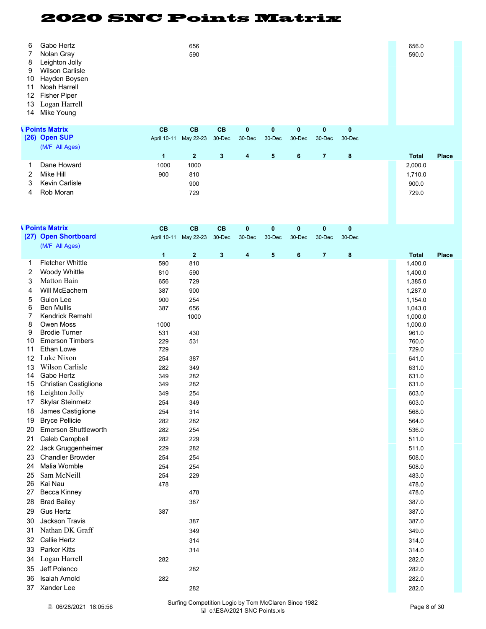| 6<br>7<br>8<br>9<br>10<br>11<br>12<br>13<br>14 | Gabe Hertz<br>Nolan Gray<br>Leighton Jolly<br><b>Wilson Carlisle</b><br>Hayden Boysen<br>Noah Harrell<br><b>Fisher Piper</b><br>Logan Harrell<br>Mike Young |                     | 656<br>590                |              |              |          |          |                |          |  | 656.0<br>590.0                       |              |
|------------------------------------------------|-------------------------------------------------------------------------------------------------------------------------------------------------------------|---------------------|---------------------------|--------------|--------------|----------|----------|----------------|----------|--|--------------------------------------|--------------|
|                                                | <b>A Points Matrix</b>                                                                                                                                      | CB                  | CB                        | CB           | $\mathbf{0}$ | $\bf{0}$ | 0        | $\mathbf 0$    | $\bf{0}$ |  |                                      |              |
|                                                | (26) Open SUP                                                                                                                                               | April 10-11         | May 22-23                 | 30-Dec       | 30-Dec       | 30-Dec   | 30-Dec   | 30-Dec         | 30-Dec   |  |                                      |              |
|                                                | (M/F All Ages)                                                                                                                                              | $\mathbf{1}$        | $\mathbf{2}$              | $\mathbf{3}$ | 4            | 5        | 6        | $\overline{7}$ | 8        |  | <b>Total</b>                         | <b>Place</b> |
| 1<br>2<br>3<br>4                               | Dane Howard<br>Mike Hill<br><b>Kevin Carlisle</b><br>Rob Moran                                                                                              | 1000<br>900         | 1000<br>810<br>900<br>729 |              |              |          |          |                |          |  | 2,000.0<br>1,710.0<br>900.0<br>729.0 |              |
|                                                | <b>A</b> Points Matrix                                                                                                                                      | <b>CB</b>           | CB                        | <b>CB</b>    | $\bf{0}$     | $\bf{0}$ | $\bf{0}$ | $\mathbf 0$    | $\bf{0}$ |  |                                      |              |
|                                                | (27) Open Shortboard                                                                                                                                        | April 10-11         | May 22-23                 | 30-Dec       | 30-Dec       | 30-Dec   | 30-Dec   | 30-Dec         | 30-Dec   |  |                                      |              |
|                                                | (M/F All Ages)                                                                                                                                              |                     |                           |              |              |          |          |                |          |  |                                      |              |
| 1                                              | <b>Fletcher Whittle</b>                                                                                                                                     | $\mathbf{1}$<br>590 | $\mathbf{2}$<br>810       | $\mathbf{3}$ | 4            | 5        | 6        | $\overline{7}$ | 8        |  | <b>Total</b><br>1,400.0              | <b>Place</b> |
| 2                                              | Woody Whittle                                                                                                                                               | 810                 | 590                       |              |              |          |          |                |          |  | 1,400.0                              |              |
| 3                                              | Matton Bain                                                                                                                                                 | 656                 | 729                       |              |              |          |          |                |          |  | 1,385.0                              |              |
| 4                                              | Will McEachern                                                                                                                                              | 387                 | 900                       |              |              |          |          |                |          |  | 1,287.0                              |              |
| 5                                              | Guion Lee                                                                                                                                                   | 900                 | 254                       |              |              |          |          |                |          |  | 1,154.0                              |              |
| 6                                              | <b>Ben Mullis</b>                                                                                                                                           | 387                 | 656                       |              |              |          |          |                |          |  | 1,043.0                              |              |
| 7<br>8                                         | Kendrick Remahl<br>Owen Moss                                                                                                                                | 1000                | 1000                      |              |              |          |          |                |          |  | 1,000.0<br>1,000.0                   |              |
| 9                                              | <b>Brodie Turner</b>                                                                                                                                        | 531                 | 430                       |              |              |          |          |                |          |  | 961.0                                |              |
| 10                                             | <b>Emerson Timbers</b>                                                                                                                                      | 229                 | 531                       |              |              |          |          |                |          |  | 760.0                                |              |
| 11                                             | Ethan Lowe                                                                                                                                                  | 729                 |                           |              |              |          |          |                |          |  | 729.0                                |              |
| 12                                             | Luke Nixon                                                                                                                                                  | 254                 | 387                       |              |              |          |          |                |          |  | 641.0                                |              |
| 13                                             | Wilson Carlisle                                                                                                                                             | 282                 | 349                       |              |              |          |          |                |          |  | 631.0                                |              |
| 14<br>15                                       | Gabe Hertz<br><b>Christian Castiglione</b>                                                                                                                  | 349<br>349          | 282<br>282                |              |              |          |          |                |          |  | 631.0<br>631.0                       |              |
|                                                | 16 Leighton Jolly                                                                                                                                           | 349                 | 254                       |              |              |          |          |                |          |  | 603.0                                |              |
| 17                                             | Skylar Steinmetz                                                                                                                                            | 254                 | 349                       |              |              |          |          |                |          |  | 603.0                                |              |
| 18                                             | James Castiglione                                                                                                                                           | 254                 | 314                       |              |              |          |          |                |          |  | 568.0                                |              |
| 19                                             | <b>Bryce Pellicie</b>                                                                                                                                       | 282                 | 282                       |              |              |          |          |                |          |  | 564.0                                |              |
| 20                                             | <b>Emerson Shuttleworth</b>                                                                                                                                 | 282                 | 254                       |              |              |          |          |                |          |  | 536.0                                |              |
| 21                                             | Caleb Campbell                                                                                                                                              | 282                 | 229                       |              |              |          |          |                |          |  | 511.0                                |              |
| 22                                             | Jack Gruggenheimer                                                                                                                                          | 229                 | 282                       |              |              |          |          |                |          |  | 511.0                                |              |
| 23                                             | <b>Chandler Browder</b>                                                                                                                                     | 254                 | 254                       |              |              |          |          |                |          |  | 508.0                                |              |
| 24                                             | Malia Womble                                                                                                                                                | 254                 | 254                       |              |              |          |          |                |          |  | 508.0                                |              |
| 25                                             | Sam McNeill                                                                                                                                                 | 254                 | 229                       |              |              |          |          |                |          |  | 483.0                                |              |
| 26<br>27                                       | Kai Nau<br>Becca Kinney                                                                                                                                     | 478                 | 478                       |              |              |          |          |                |          |  | 478.0<br>478.0                       |              |
| 28                                             | <b>Brad Bailey</b>                                                                                                                                          |                     | 387                       |              |              |          |          |                |          |  | 387.0                                |              |
| 29                                             | <b>Gus Hertz</b>                                                                                                                                            | 387                 |                           |              |              |          |          |                |          |  | 387.0                                |              |
| 30                                             | Jackson Travis                                                                                                                                              |                     | 387                       |              |              |          |          |                |          |  | 387.0                                |              |
| 31                                             | Nathan DK Graff                                                                                                                                             |                     | 349                       |              |              |          |          |                |          |  | 349.0                                |              |
| 32                                             | Callie Hertz                                                                                                                                                |                     | 314                       |              |              |          |          |                |          |  | 314.0                                |              |
| 33                                             | Parker Kitts                                                                                                                                                |                     | 314                       |              |              |          |          |                |          |  | 314.0                                |              |
| 34                                             | Logan Harrell                                                                                                                                               | 282                 |                           |              |              |          |          |                |          |  | 282.0                                |              |
| 35                                             | Jeff Polanco                                                                                                                                                |                     | 282                       |              |              |          |          |                |          |  | 282.0                                |              |
| 36                                             | Isaiah Arnold                                                                                                                                               | 282                 |                           |              |              |          |          |                |          |  | 282.0                                |              |
| 37                                             | Xander Lee                                                                                                                                                  |                     | 282                       |              |              |          |          |                |          |  | 282.0                                |              |
|                                                |                                                                                                                                                             |                     |                           |              |              |          |          |                |          |  |                                      |              |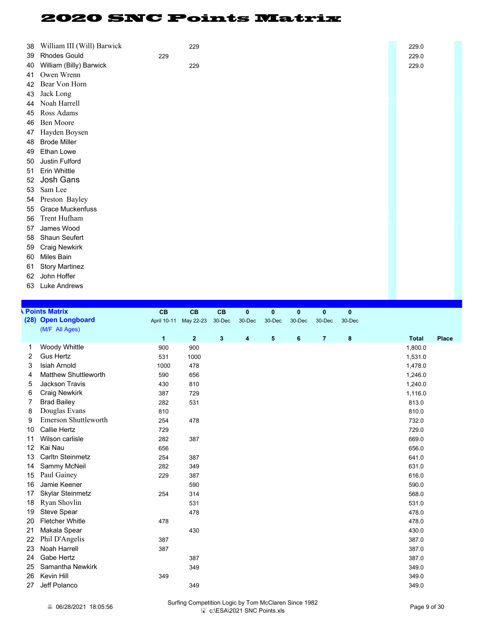| 38 | William III (Will) Barwick |     | 229 | 229.0 |
|----|----------------------------|-----|-----|-------|
| 39 | <b>Rhodes Gould</b>        | 229 |     | 229.0 |
| 40 | William (Billy) Barwick    |     | 229 | 229.0 |
| 41 | Owen Wrenn                 |     |     |       |
| 42 | Bear Von Horn              |     |     |       |
| 43 | Jack Long                  |     |     |       |
| 44 | Noah Harrell               |     |     |       |
| 45 | Ross Adams                 |     |     |       |
| 46 | Ben Moore                  |     |     |       |
| 47 | Hayden Boysen              |     |     |       |
| 48 | <b>Brode Miller</b>        |     |     |       |
| 49 | Ethan Lowe                 |     |     |       |
| 50 | Justin Fulford             |     |     |       |
| 51 | Erin Whittle               |     |     |       |
| 52 | Josh Gans                  |     |     |       |
| 53 | Sam Lee                    |     |     |       |
| 54 | Preston Bayley             |     |     |       |
| 55 | <b>Grace Muckenfuss</b>    |     |     |       |
| 56 | Trent Hufham               |     |     |       |
| 57 | James Wood                 |     |     |       |
| 58 | Shaun Seufert              |     |     |       |
| 59 | <b>Craig Newkirk</b>       |     |     |       |
| 60 | Miles Bain                 |     |     |       |
| 61 | <b>Story Martinez</b>      |     |     |       |

- John Hoffer
- Luke Andrews

|    | <b>Points Matrix</b>        | <b>CB</b>            | CB                    | CB           | $\bf{0}$ | $\mathbf{0}$ | 0      | $\mathbf{0}$   | $\mathbf{0}$ |                              |
|----|-----------------------------|----------------------|-----------------------|--------------|----------|--------------|--------|----------------|--------------|------------------------------|
|    | (28) Open Longboard         |                      | April 10-11 May 22-23 | 30-Dec       | 30-Dec   | 30-Dec       | 30-Dec | 30-Dec         | 30-Dec       |                              |
|    | (M/F All Ages)              |                      |                       |              |          |              |        |                |              |                              |
|    |                             | $\blacktriangleleft$ | $\overline{2}$        | $\mathbf{3}$ | 4        | 5            | 6      | $\overline{7}$ | 8            | <b>Total</b><br><b>Place</b> |
|    | Woody Whittle               | 900                  | 900                   |              |          |              |        |                |              | 1,800.0                      |
| 2  | <b>Gus Hertz</b>            | 531                  | 1000                  |              |          |              |        |                |              | 1,531.0                      |
| 3  | <b>Isiah Arnold</b>         | 1000                 | 478                   |              |          |              |        |                |              | 1,478.0                      |
| 4  | <b>Matthew Shuttleworth</b> | 590                  | 656                   |              |          |              |        |                |              | 1,246.0                      |
| 5  | Jackson Travis              | 430                  | 810                   |              |          |              |        |                |              | 1,240.0                      |
| 6  | <b>Craig Newkirk</b>        | 387                  | 729                   |              |          |              |        |                |              | 1,116.0                      |
|    | <b>Brad Bailey</b>          | 282                  | 531                   |              |          |              |        |                |              | 813.0                        |
| 8  | Douglas Evans               | 810                  |                       |              |          |              |        |                |              | 810.0                        |
| 9  | Emerson Shuttleworth        | 254                  | 478                   |              |          |              |        |                |              | 732.0                        |
| 10 | <b>Callie Hertz</b>         | 729                  |                       |              |          |              |        |                |              | 729.0                        |
| 11 | Wilson carlisle             | 282                  | 387                   |              |          |              |        |                |              | 669.0                        |
| 12 | Kai Nau                     | 656                  |                       |              |          |              |        |                |              | 656.0                        |
| 13 | Carltn Steinmetz            | 254                  | 387                   |              |          |              |        |                |              | 641.0                        |
| 14 | Sammy McNeil                | 282                  | 349                   |              |          |              |        |                |              | 631.0                        |
| 15 | Paul Gainey                 | 229                  | 387                   |              |          |              |        |                |              | 616.0                        |
| 16 | Jamie Keener                |                      | 590                   |              |          |              |        |                |              | 590.0                        |
| 17 | <b>Skylar Steinmetz</b>     | 254                  | 314                   |              |          |              |        |                |              | 568.0                        |
| 18 | Ryan Shovlin                |                      | 531                   |              |          |              |        |                |              | 531.0                        |
| 19 | Steve Spear                 |                      | 478                   |              |          |              |        |                |              | 478.0                        |
| 20 | <b>Fletcher Whitle</b>      | 478                  |                       |              |          |              |        |                |              | 478.0                        |
| 21 | Makala Spear                |                      | 430                   |              |          |              |        |                |              | 430.0                        |
| 22 | Phil D'Angelis              | 387                  |                       |              |          |              |        |                |              | 387.0                        |
| 23 | Noah Harrell                | 387                  |                       |              |          |              |        |                |              | 387.0                        |
| 24 | Gabe Hertz                  |                      | 387                   |              |          |              |        |                |              | 387.0                        |
| 25 | Samantha Newkirk            |                      | 349                   |              |          |              |        |                |              | 349.0                        |
| 26 | Kevin Hill                  | 349                  |                       |              |          |              |        |                |              | 349.0                        |
| 27 | Jeff Polanco                |                      | 349                   |              |          |              |        |                |              | 349.0                        |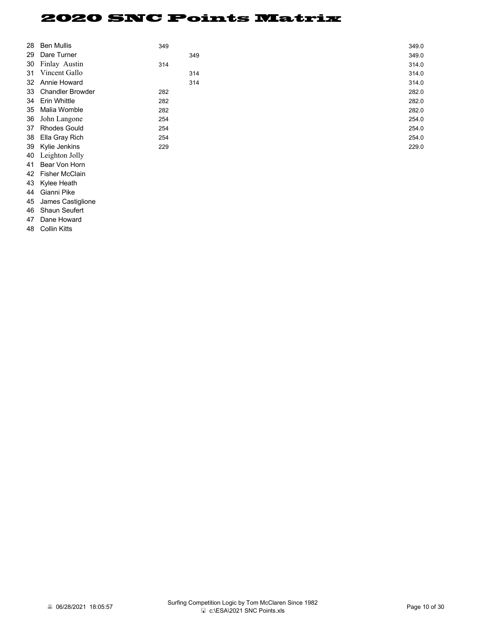| 28 | <b>Ben Mullis</b>   | 349 |     | 349.0 |
|----|---------------------|-----|-----|-------|
|    | 29 Dare Turner      |     | 349 | 349.0 |
|    | 30 Finlay Austin    | 314 |     | 314.0 |
|    | 31 Vincent Gallo    |     | 314 | 314.0 |
|    | 32 Annie Howard     |     | 314 | 314.0 |
|    | 33 Chandler Browder | 282 |     | 282.0 |
|    | 34 Erin Whittle     | 282 |     | 282.0 |
|    | 35 Malia Womble     | 282 |     | 282.0 |
| 36 | John Langone        | 254 |     | 254.0 |
|    | 37 Rhodes Gould     | 254 |     | 254.0 |
|    | 38 Ella Gray Rich   | 254 |     | 254.0 |
|    | 39 Kylie Jenkins    | 229 |     | 229.0 |
|    | 40 Leighton Jolly   |     |     |       |

 Bear Von Horn Fisher McClain Kylee Heath Gianni Pike James Castiglione Shaun Seufert Dane Howard Collin Kitts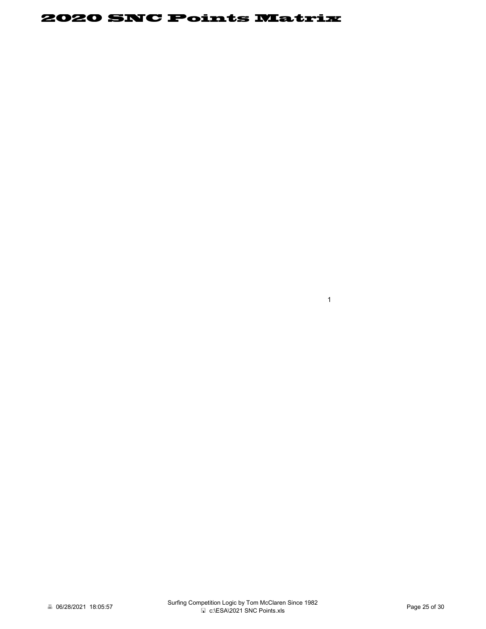1